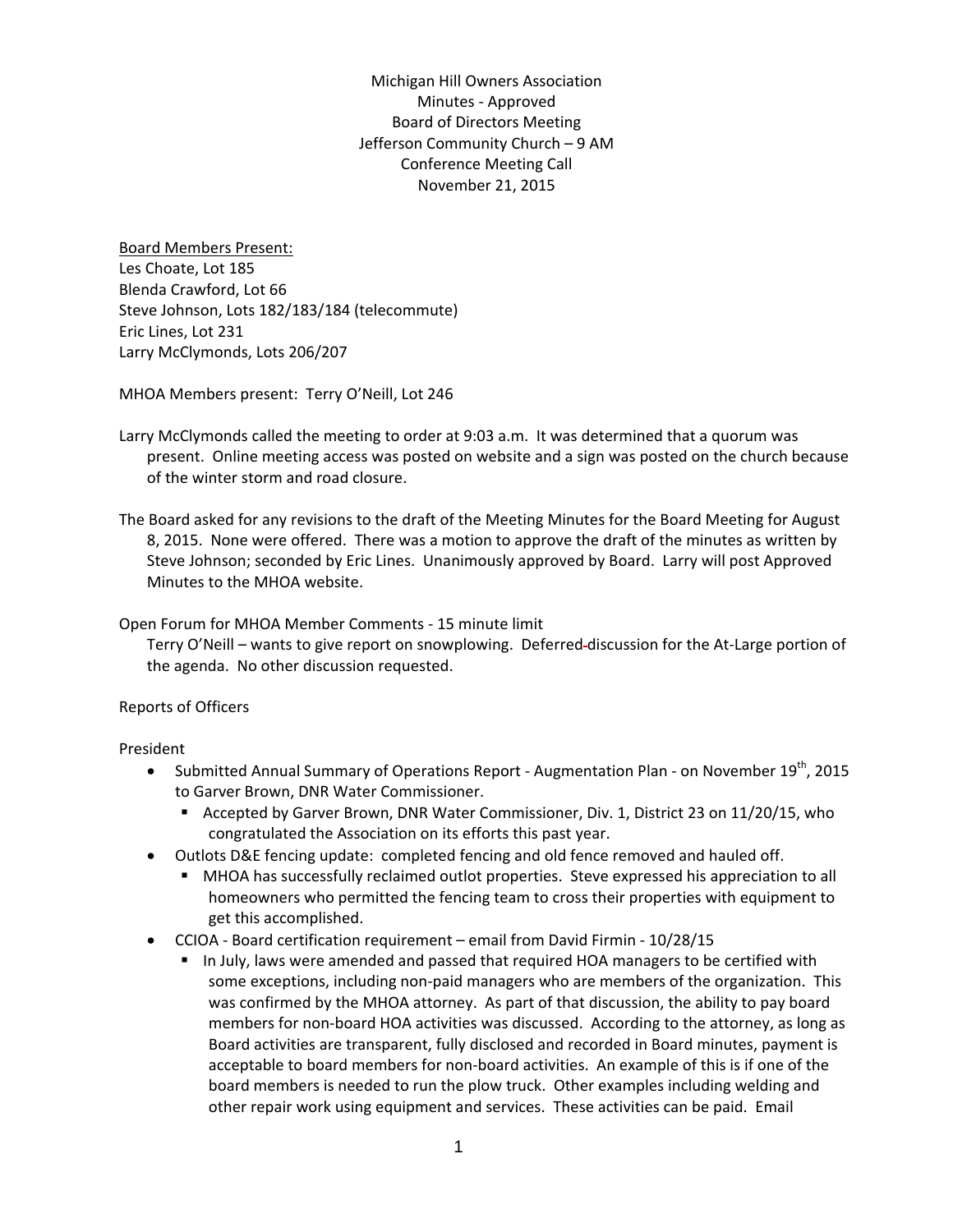Michigan Hill Owners Association Minutes ‐ Approved Board of Directors Meeting Jefferson Community Church – 9 AM Conference Meeting Call November 21, 2015

Board Members Present: Les Choate, Lot 185 Blenda Crawford, Lot 66 Steve Johnson, Lots 182/183/184 (telecommute) Eric Lines, Lot 231 Larry McClymonds, Lots 206/207

MHOA Members present: Terry O'Neill, Lot 246

Larry McClymonds called the meeting to order at 9:03 a.m. It was determined that a quorum was present. Online meeting access was posted on website and a sign was posted on the church because of the winter storm and road closure.

The Board asked for any revisions to the draft of the Meeting Minutes for the Board Meeting for August 8, 2015. None were offered. There was a motion to approve the draft of the minutes as written by Steve Johnson; seconded by Eric Lines. Unanimously approved by Board. Larry will post Approved Minutes to the MHOA website.

Open Forum for MHOA Member Comments ‐ 15 minute limit

Terry O'Neill – wants to give report on snowplowing. Deferred discussion for the At‐Large portion of the agenda. No other discussion requested.

Reports of Officers

President

- Submitted Annual Summary of Operations Report ‐ Augmentation Plan ‐ on November 19th, 2015 to Garver Brown, DNR Water Commissioner.
	- Accepted by Garver Brown, DNR Water Commissioner, Div. 1, District 23 on 11/20/15, who congratulated the Association on its efforts this past year.
- Outlots D&E fencing update: completed fencing and old fence removed and hauled off.
	- MHOA has successfully reclaimed outlot properties. Steve expressed his appreciation to all homeowners who permitted the fencing team to cross their properties with equipment to get this accomplished.
- CCIOA ‐ Board certification requirement email from David Firmin ‐ 10/28/15
	- In July, laws were amended and passed that required HOA managers to be certified with some exceptions, including non-paid managers who are members of the organization. This was confirmed by the MHOA attorney. As part of that discussion, the ability to pay board members for non‐board HOA activities was discussed. According to the attorney, as long as Board activities are transparent, fully disclosed and recorded in Board minutes, payment is acceptable to board members for non‐board activities. An example of this is if one of the board members is needed to run the plow truck. Other examples including welding and other repair work using equipment and services. These activities can be paid. Email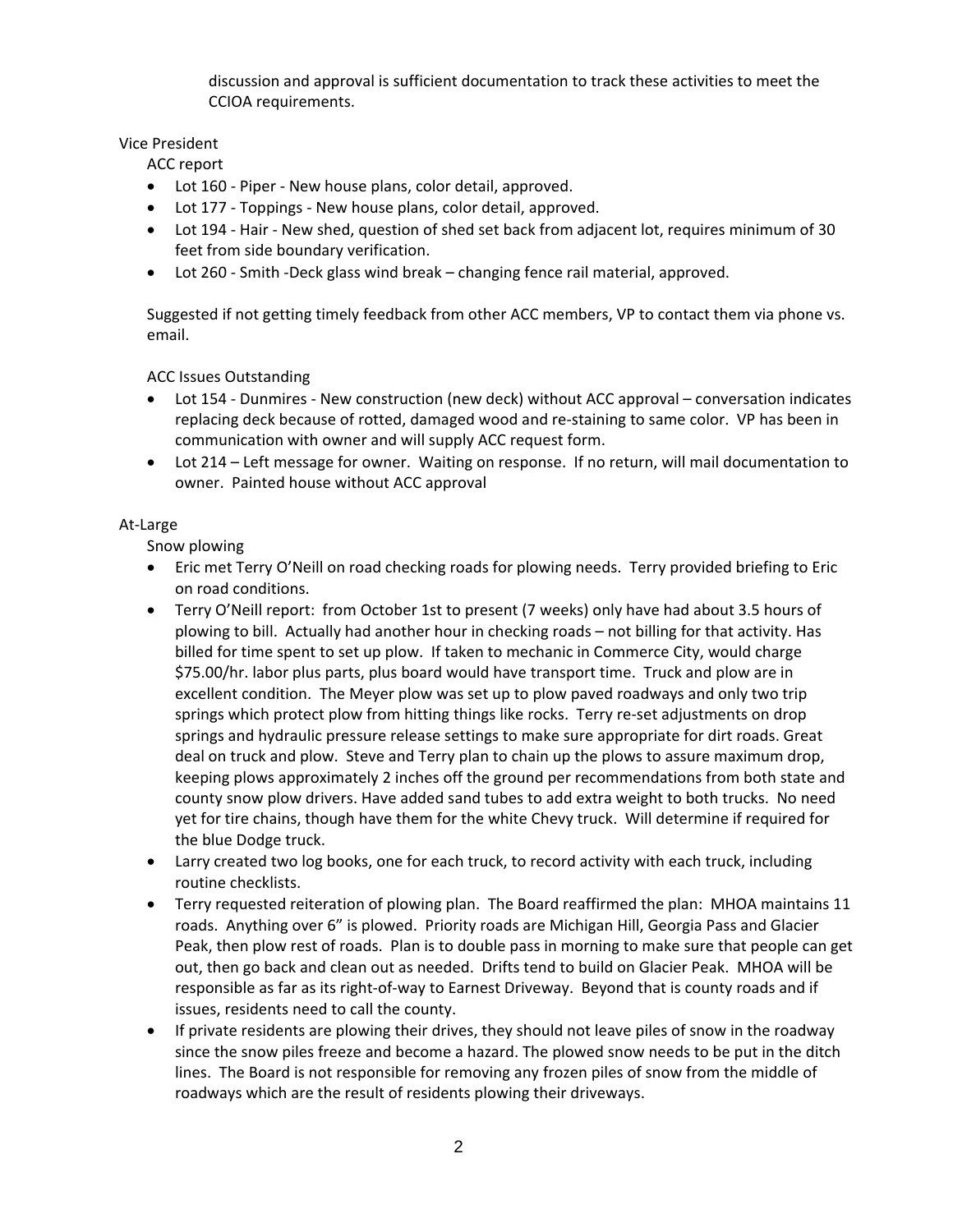discussion and approval is sufficient documentation to track these activities to meet the CCIOA requirements.

## Vice President

ACC report

- Lot 160 Piper New house plans, color detail, approved.
- Lot 177 Toppings New house plans, color detail, approved.
- Lot 194 Hair New shed, question of shed set back from adjacent lot, requires minimum of 30 feet from side boundary verification.
- Lot 260 ‐ Smith ‐Deck glass wind break changing fence rail material, approved.

Suggested if not getting timely feedback from other ACC members, VP to contact them via phone vs. email.

ACC Issues Outstanding

- Lot 154 ‐ Dunmires ‐ New construction (new deck) without ACC approval conversation indicates replacing deck because of rotted, damaged wood and re‐staining to same color. VP has been in communication with owner and will supply ACC request form.
- Lot 214 Left message for owner. Waiting on response. If no return, will mail documentation to owner. Painted house without ACC approval

## At‐Large

Snow plowing

- Eric met Terry O'Neill on road checking roads for plowing needs. Terry provided briefing to Eric on road conditions.
- Terry O'Neill report: from October 1st to present (7 weeks) only have had about 3.5 hours of plowing to bill. Actually had another hour in checking roads – not billing for that activity. Has billed for time spent to set up plow. If taken to mechanic in Commerce City, would charge \$75.00/hr. labor plus parts, plus board would have transport time. Truck and plow are in excellent condition. The Meyer plow was set up to plow paved roadways and only two trip springs which protect plow from hitting things like rocks. Terry re-set adjustments on drop springs and hydraulic pressure release settings to make sure appropriate for dirt roads. Great deal on truck and plow. Steve and Terry plan to chain up the plows to assure maximum drop, keeping plows approximately 2 inches off the ground per recommendations from both state and county snow plow drivers. Have added sand tubes to add extra weight to both trucks. No need yet for tire chains, though have them for the white Chevy truck. Will determine if required for the blue Dodge truck.
- Larry created two log books, one for each truck, to record activity with each truck, including routine checklists.
- Terry requested reiteration of plowing plan. The Board reaffirmed the plan: MHOA maintains 11 roads. Anything over 6" is plowed. Priority roads are Michigan Hill, Georgia Pass and Glacier Peak, then plow rest of roads. Plan is to double pass in morning to make sure that people can get out, then go back and clean out as needed. Drifts tend to build on Glacier Peak. MHOA will be responsible as far as its right‐of‐way to Earnest Driveway. Beyond that is county roads and if issues, residents need to call the county.
- If private residents are plowing their drives, they should not leave piles of snow in the roadway since the snow piles freeze and become a hazard. The plowed snow needs to be put in the ditch lines. The Board is not responsible for removing any frozen piles of snow from the middle of roadways which are the result of residents plowing their driveways.